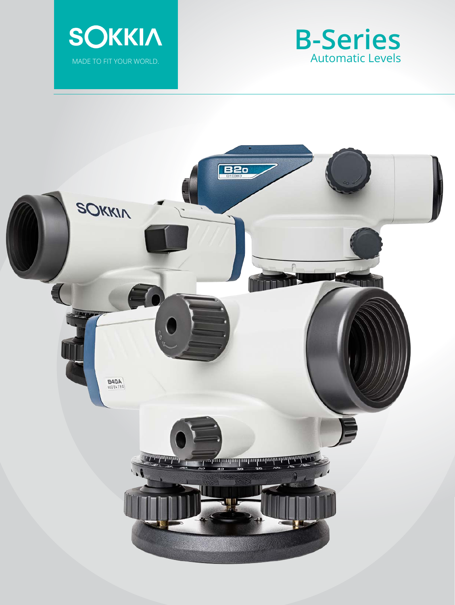